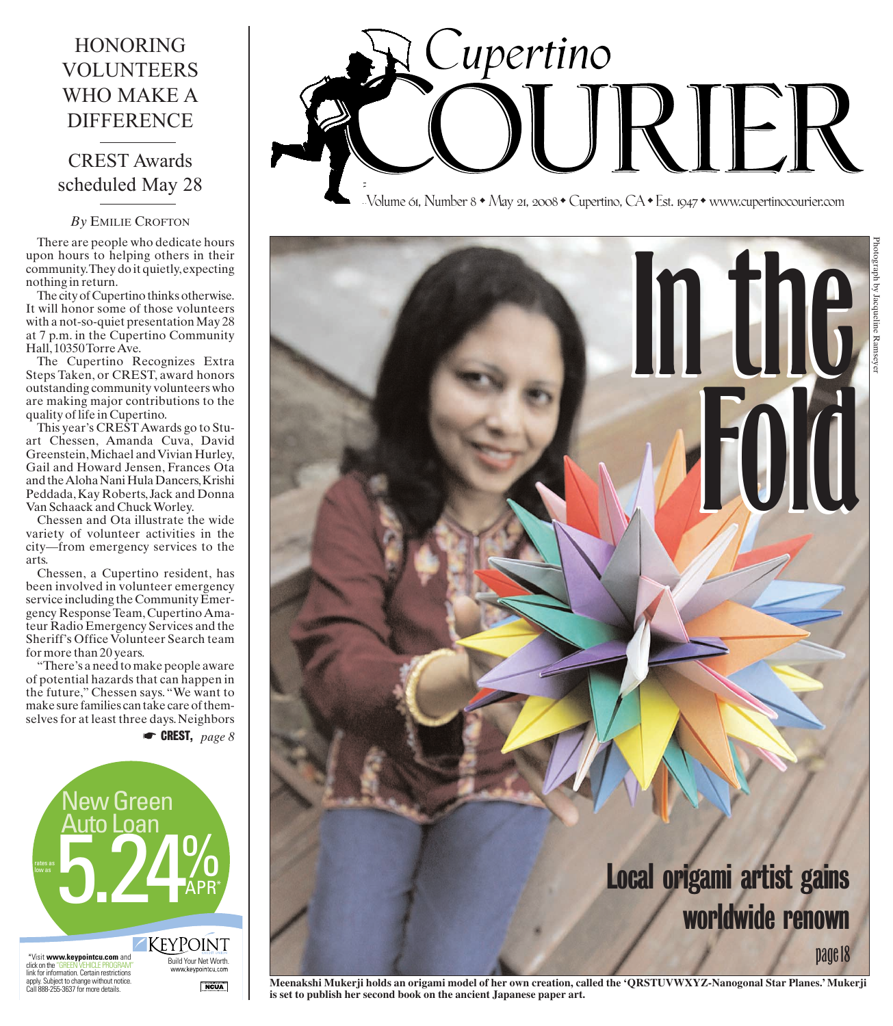# **HONORING VOLUNTEERS WHO MAKE A DIFFERENCE**

## **CREST Awards** scheduled May 28

## By EMILIE CROFTON

There are people who dedicate hours upon hours to helping others in their community. They do it quietly, expecting nothing in return.

The city of Cupertino thinks otherwise. It will honor some of those volunteers with a not-so-quiet presentation May 28 at 7 p.m. in the Cupertino Community Hall, 10350 Torre Ave.

The Cupertino Recognizes Extra<br>Steps Taken, or CREST, award honors outstanding community volunteers who are making major contributions to the quality of life in Cupertino.

This year's CREST Awards go to Stuart Chessen, Amanda Cuva, David Greenstein, Michael and Vivian Hurley, Gail and Howard Jensen, Frances Ota and the Aloha Nani Hula Dancers, Krishi Peddada, Kay Roberts, Jack and Donna Van Schaack and Chuck Worley.

Chessen and Ota illustrate the wide variety of volunteer activities in the city—from emergency services to the arts.

Chessen, a Cupertino resident, has been involved in volunteer emergency service including the Community Emergency Response Team, Cupertino Amateur Radio Emergency Services and the Sheriff's Office Volunteer Search team for more than 20 years.

"There's a need to make people aware of potential hazards that can happen in the future," Chessen says. "We want to make sure families can take care of themselves for at least three days. Neighbors

 $\bullet$  CREST, page 8



# Supertino

Volume 61, Number 8 • May 21, 2008 • Cupertino, CA • Est. 1947 • www.cupertinocourier.com



is set to publish her second book on the ancient Japanese paper art.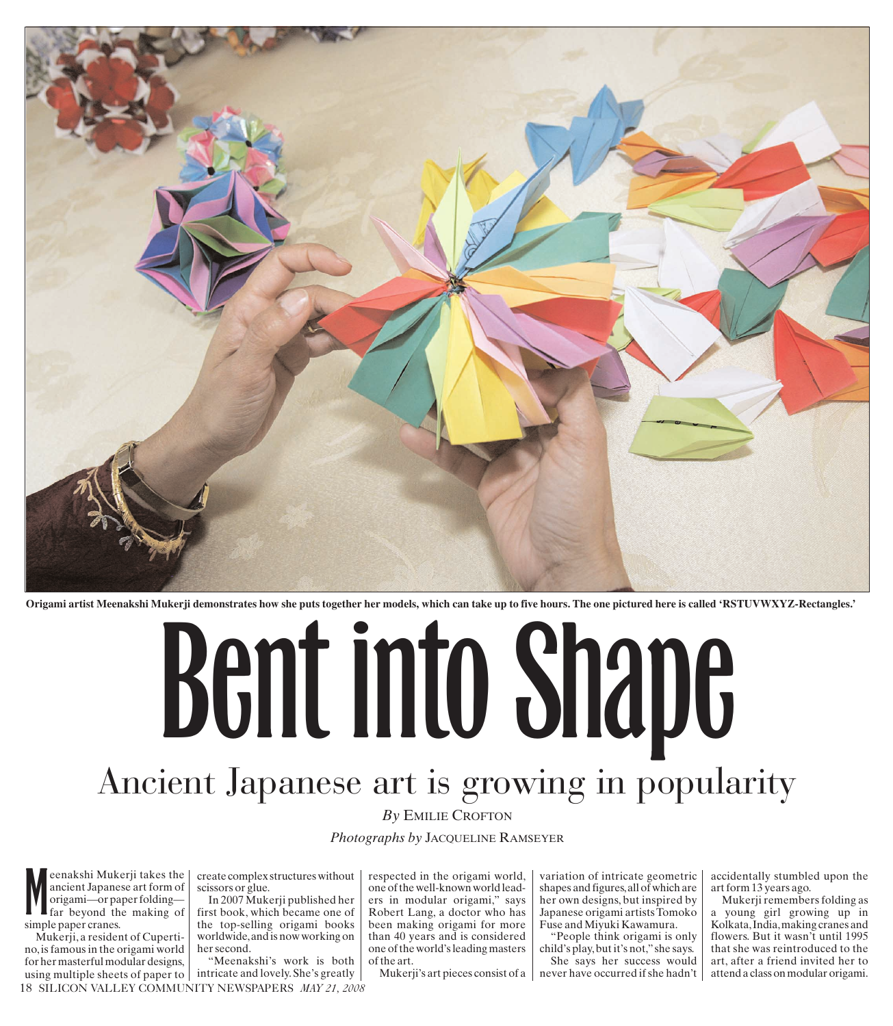

**Origami artist Meenakshi Mukerji demonstrates how she puts together her models, which can take up to five hours. The one pictured here is called 'RSTUVWXYZ-Rectangles.'**

# Bent into Shape Ancient Japanese art is growing in popularity

## *By* EMILIE CROFTON

### *Photographs by* JACQUELINE RAMSEYER

**M**eenakshi Muk<br>
ancient Japane<br>
origami—or pa<br>
far beyond th<br>
simple paper cranes. eenakshi Mukerji takes the ancient Japanese art form of origami—or paper folding far beyond the making of

Mukerji,a resident of Cupertino, is famous in the origami world for her masterful modular designs, using multiple sheets of paper to  $\vert$  intricate and lovely. She's greatly

create complex structures without scissors or glue.

In 2007 Mukerji published her first book, which became one of the top-selling origami books worldwide,and is now working on her second.

18 SILICON VALLEY COMMUNITY NEWSPAPERS *MAY 21, 2008* "Meenakshi's work is both

respected in the origami world, one of the well-known world leaders in modular origami," says Robert Lang, a doctor who has been making origami for more than 40 years and is considered one of the world's leading masters of the art.

Mukerji's art pieces consist of a

variation of intricate geometric shapes and figures,all of which are her own designs, but inspired by Japanese origami artists Tomoko Fuse and Miyuki Kawamura.

"People think origami is only child's play,but it's not,"she says. She says her success would never have occurred if she hadn't accidentally stumbled upon the art form 13 years ago.

Mukerji remembers folding as a young girl growing up in Kolkata,India,making cranes and flowers. But it wasn't until 1995 that she was reintroduced to the art, after a friend invited her to attend a class on modular origami.